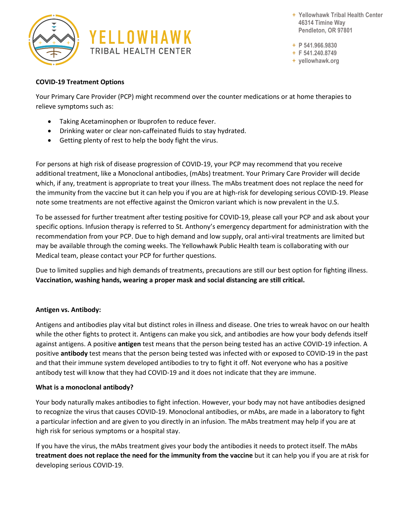



**+ Yellowhawk Tribal Health Center 46314 Timíne Way Pendleton, OR 97801**

**+ P 541.966.9830**

**+ F 541.240.8749**

**+ yellowhawk.org**

## **COVID-19 Treatment Options**

Your Primary Care Provider (PCP) might recommend over the counter medications or at home therapies to relieve symptoms such as:

- Taking Acetaminophen or Ibuprofen to reduce fever.
- Drinking water or clear non-caffeinated fluids to stay hydrated.
- Getting plenty of rest to help the body fight the virus.

For persons at high risk of disease progression of COVID-19, your PCP may recommend that you receive additional treatment, like a Monoclonal antibodies, (mAbs) treatment. Your Primary Care Provider will decide which, if any, treatment is appropriate to treat your illness. The mAbs treatment does not replace the need for the immunity from the vaccine but it can help you if you are at high-risk for developing serious COVID-19. Please note some treatments are not effective against the Omicron variant which is now prevalent in the U.S.

To be assessed for further treatment after testing positive for COVID-19, please call your PCP and ask about your specific options. Infusion therapy is referred to St. Anthony's emergency department for administration with the recommendation from your PCP. Due to high demand and low supply, oral anti-viral treatments are limited but may be available through the coming weeks. The Yellowhawk Public Health team is collaborating with our Medical team, please contact your PCP for further questions.

Due to limited supplies and high demands of treatments, precautions are still our best option for fighting illness. **Vaccination, washing hands, wearing a proper mask and social distancing are still critical.**

## **Antigen vs. Antibody:**

Antigens and antibodies play vital but distinct roles in illness and disease. One tries to wreak havoc on our health while the other fights to protect it. Antigens can make you sick, and antibodies are how your body defends itself against antigens. A positive **antigen** test means that the person being tested has an active COVID-19 infection. A positive **antibody** test means that the person being tested was infected with or exposed to COVID-19 in the past and that their immune system developed antibodies to try to fight it off. Not everyone who has a positive antibody test will know that they had COVID-19 and it does not indicate that they are immune.

## **What is a monoclonal antibody?**

Your body naturally makes antibodies to fight infection. However, your body may not have antibodies designed to recognize the virus that causes COVID-19. Monoclonal antibodies, or mAbs, are made in a laboratory to fight a particular infection and are given to you directly in an infusion. The mAbs treatment may help if you are at high risk for serious symptoms or a hospital stay.

If you have the virus, the mAbs treatment gives your body the antibodies it needs to protect itself. The mAbs **treatment does not replace the need for the immunity from the vaccine** but it can help you if you are at risk for developing serious COVID-19.